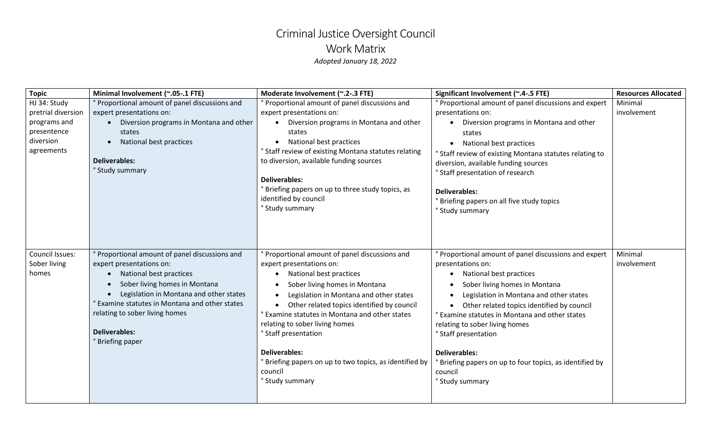## Criminal Justice Oversight Council Work Matrix *Adopted January 18, 2022*

| <b>Topic</b>       | Minimal Involvement (~.05-.1 FTE)                         | Moderate Involvement (~.2-.3 FTE)                       | Significant Involvement (~.4-.5 FTE)                     | <b>Resources Allocated</b> |
|--------------------|-----------------------------------------------------------|---------------------------------------------------------|----------------------------------------------------------|----------------------------|
| HJ 34: Study       | ° Proportional amount of panel discussions and            | Proportional amount of panel discussions and            | Proportional amount of panel discussions and expert      | Minimal                    |
| pretrial diversion | expert presentations on:                                  | expert presentations on:                                | presentations on:                                        | involvement                |
| programs and       | Diversion programs in Montana and other<br>$\bullet$      | Diversion programs in Montana and other                 | • Diversion programs in Montana and other                |                            |
| presentence        | states                                                    | states                                                  | states                                                   |                            |
| diversion          | National best practices<br>$\bullet$                      | National best practices                                 | • National best practices                                |                            |
| agreements         |                                                           | ° Staff review of existing Montana statutes relating    | ° Staff review of existing Montana statutes relating to  |                            |
|                    | <b>Deliverables:</b>                                      | to diversion, available funding sources                 | diversion, available funding sources                     |                            |
|                    | ° Study summary                                           |                                                         | ° Staff presentation of research                         |                            |
|                    |                                                           | <b>Deliverables:</b>                                    |                                                          |                            |
|                    |                                                           | Briefing papers on up to three study topics, as         | <b>Deliverables:</b>                                     |                            |
|                    |                                                           | identified by council                                   | Briefing papers on all five study topics                 |                            |
|                    |                                                           | ° Study summary                                         | ° Study summary                                          |                            |
|                    |                                                           |                                                         |                                                          |                            |
| Council Issues:    | ° Proportional amount of panel discussions and            | Proportional amount of panel discussions and            | Proportional amount of panel discussions and expert      | Minimal                    |
| Sober living       | expert presentations on:                                  | expert presentations on:                                | presentations on:                                        | involvement                |
| homes              | National best practices                                   | National best practices                                 | National best practices<br>$\bullet$                     |                            |
|                    | Sober living homes in Montana<br>$\bullet$                | Sober living homes in Montana                           | Sober living homes in Montana                            |                            |
|                    | Legislation in Montana and other states<br>$\bullet$      | Legislation in Montana and other states                 | Legislation in Montana and other states                  |                            |
|                    | <sup>e</sup> Examine statutes in Montana and other states | Other related topics identified by council<br>$\bullet$ | Other related topics identified by council               |                            |
|                    | relating to sober living homes                            | Examine statutes in Montana and other states            | ° Examine statutes in Montana and other states           |                            |
|                    |                                                           | relating to sober living homes                          | relating to sober living homes                           |                            |
|                    | <b>Deliverables:</b>                                      | ° Staff presentation                                    | <b>Staff presentation</b>                                |                            |
|                    | <sup>o</sup> Briefing paper                               |                                                         |                                                          |                            |
|                    |                                                           | <b>Deliverables:</b>                                    | <b>Deliverables:</b>                                     |                            |
|                    |                                                           | Briefing papers on up to two topics, as identified by   | ° Briefing papers on up to four topics, as identified by |                            |
|                    |                                                           | council                                                 | council                                                  |                            |
|                    |                                                           | ° Study summary                                         | ° Study summary                                          |                            |
|                    |                                                           |                                                         |                                                          |                            |
|                    |                                                           |                                                         |                                                          |                            |